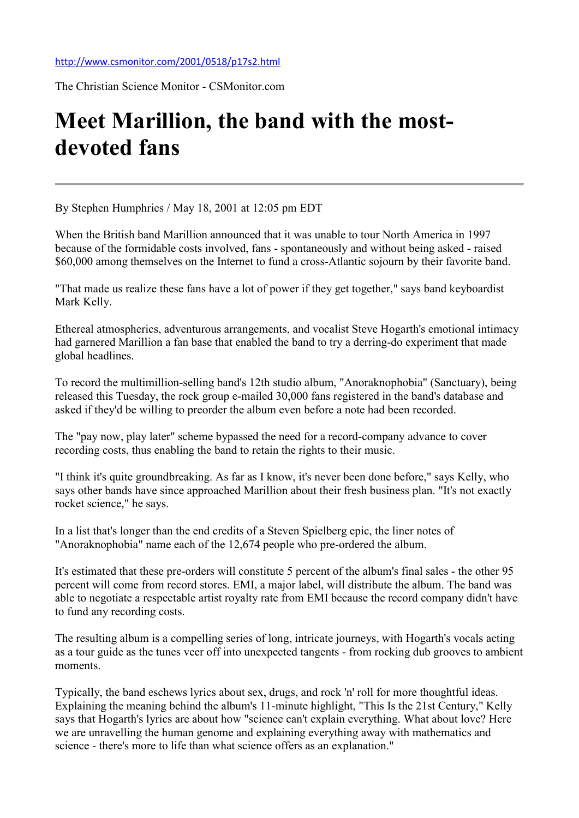The Christian Science Monitor - CSMonitor.com

## Meet Marillion, the band with the mostdevoted fans

By Stephen Humphries / May 18, 2001 at 12:05 pm EDT

When the British band Marillion announced that it was unable to tour North America in 1997 because of the formidable costs involved, fans - spontaneously and without being asked - raised \$60,000 among themselves on the Internet to fund a cross-Atlantic sojourn by their favorite band.

"That made us realize these fans have a lot of power if they get together," says band keyboardist Mark Kelly.

Ethereal atmospherics, adventurous arrangements, and vocalist Steve Hogarth's emotional intimacy had garnered Marillion a fan base that enabled the band to try a derring-do experiment that made global headlines.

To record the multimillion-selling band's 12th studio album, "Anoraknophobia" (Sanctuary), being released this Tuesday, the rock group e-mailed 30,000 fans registered in the band's database and asked if they'd be willing to preorder the album even before a note had been recorded.

The "pay now, play later" scheme bypassed the need for a record-company advance to cover recording costs, thus enabling the band to retain the rights to their music.

"I think it's quite groundbreaking. As far as I know, it's never been done before," says Kelly, who says other bands have since approached Marillion about their fresh business plan. "It's not exactly rocket science," he says.

In a list that's longer than the end credits of a Steven Spielberg epic, the liner notes of "Anoraknophobia" name each of the 12,674 people who pre-ordered the album.

It's estimated that these pre-orders will constitute 5 percent of the album's final sales - the other 95 percent will come from record stores. EMI, a major label, will distribute the album. The band was able to negotiate a respectable artist royalty rate from EMI because the record company didn't have to fund any recording costs.

The resulting album is a compelling series of long, intricate journeys, with Hogarth's vocals acting as a tour guide as the tunes veer off into unexpected tangents - from rocking dub grooves to ambient moments.

Typically, the band eschews lyrics about sex, drugs, and rock 'n' roll for more thoughtful ideas. Explaining the meaning behind the album's 11-minute highlight, "This Is the 21st Century," Kelly says that Hogarth's lyrics are about how "science can't explain everything. What about love? Here we are unravelling the human genome and explaining everything away with mathematics and science - there's more to life than what science offers as an explanation."